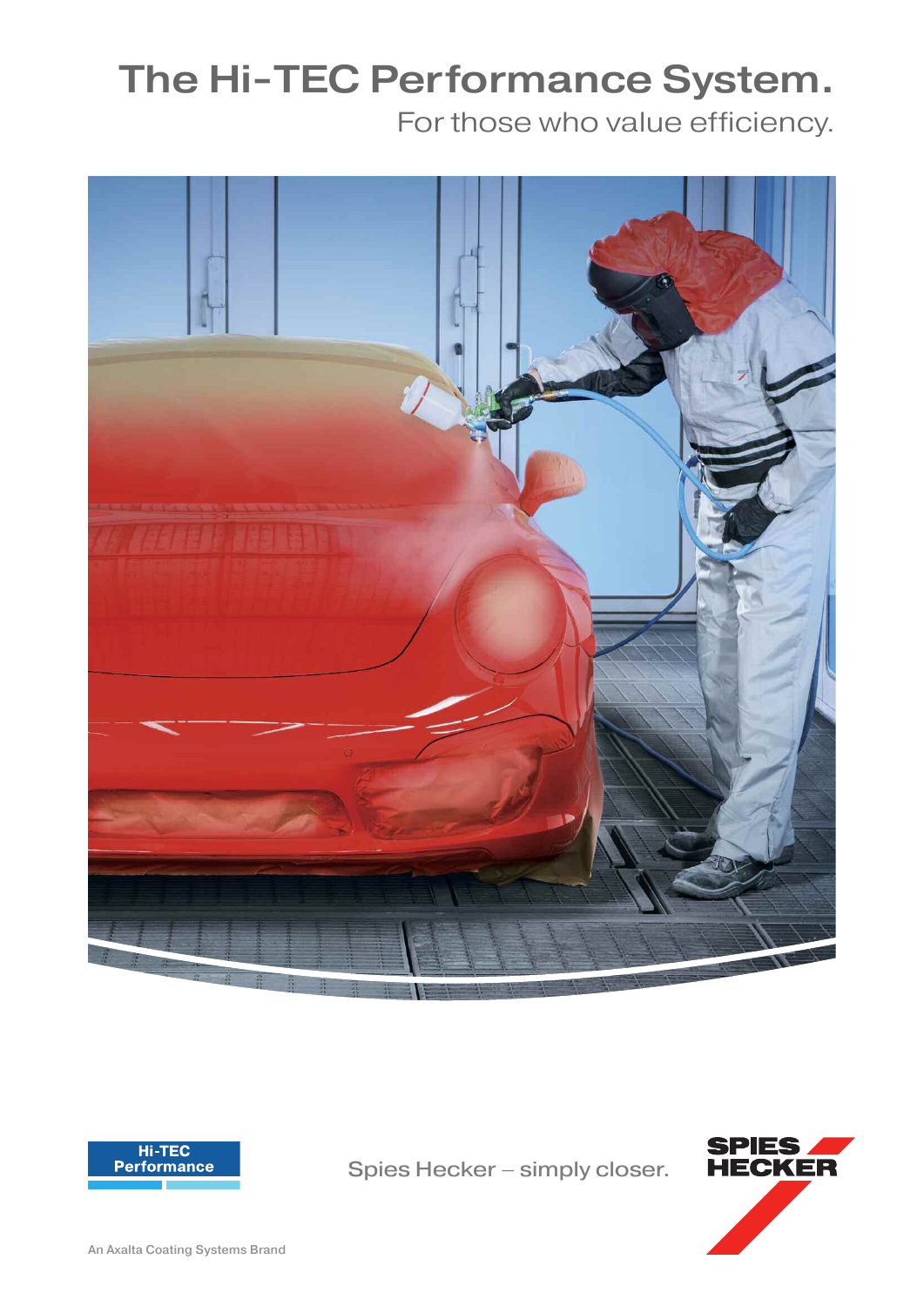# **The Hi-TEC Performance System.**

For those who value efficiency.





Spies Hecker – simply closer.

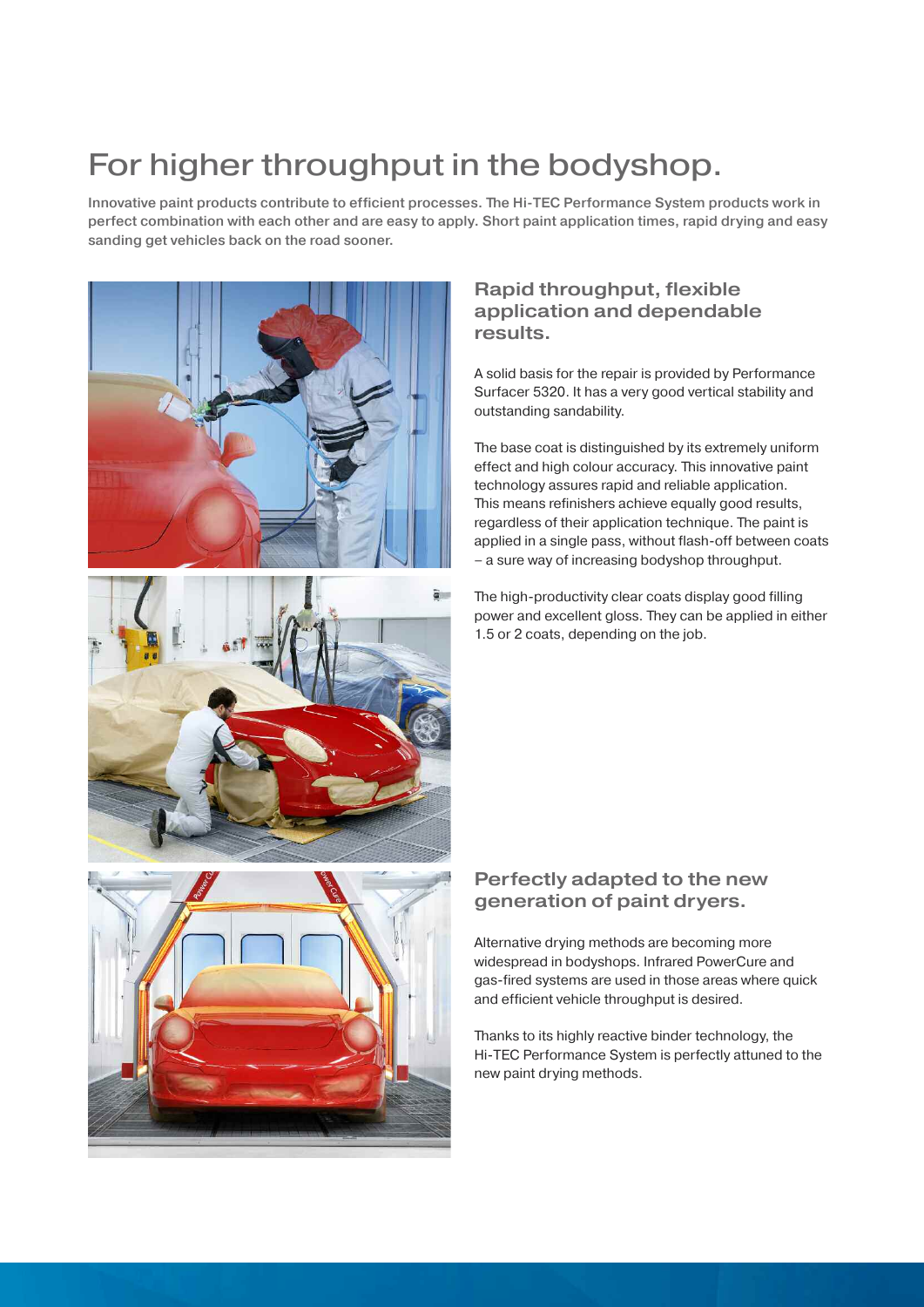# For higher throughput in the bodyshop.

Innovative paint products contribute to efficient processes. The Hi-TEC Performance System products work in perfect combination with each other and are easy to apply. Short paint application times, rapid drying and easy sanding get vehicles back on the road sooner.



## **Rapid throughput, flexible application and dependable results.**

A solid basis for the repair is provided by Performance Surfacer 5320. It has a very good vertical stability and outstanding sandability.

The base coat is distinguished by its extremely uniform effect and high colour accuracy. This innovative paint technology assures rapid and reliable application. This means refinishers achieve equally good results, regardless of their application technique. The paint is applied in a single pass, without flash-off between coats – a sure way of increasing bodyshop throughput.

The high-productivity clear coats display good filling power and excellent gloss. They can be applied in either 1.5 or 2 coats, depending on the job.

### **Perfectly adapted to the new generation of paint dryers.**

Alternative drying methods are becoming more widespread in bodyshops. Infrared PowerCure and gas-fired systems are used in those areas where quick and efficient vehicle throughput is desired.

Thanks to its highly reactive binder technology, the Hi-TEC Performance System is perfectly attuned to the new paint drying methods.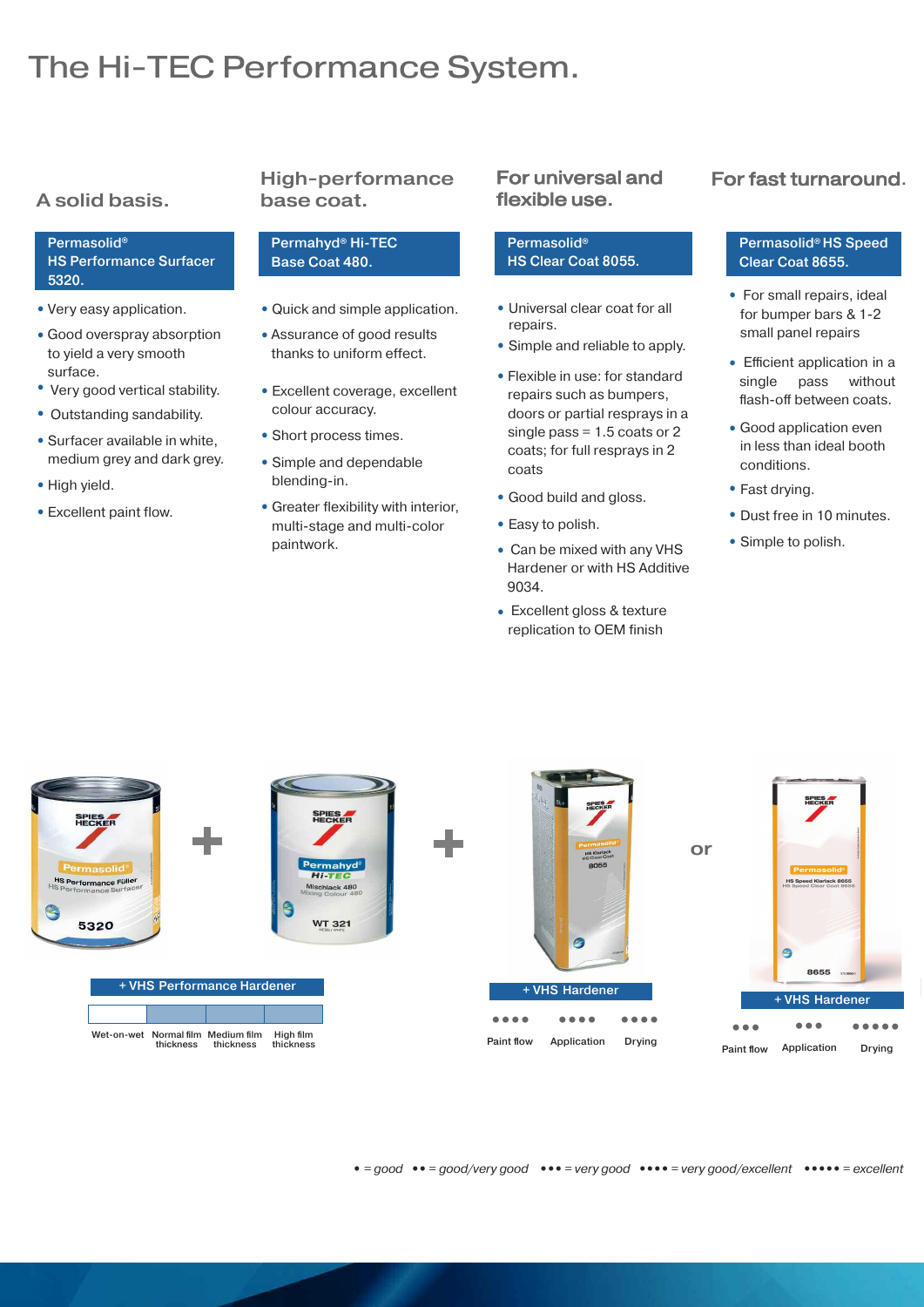# The Hi-TEC Performance System.

# **A solid basis.**

#### Permasolid® HS Performance Surfacer 5320.

- **•** Very easy application.
- **•** Good overspray absorption to yield a very smooth surface.
- **•** Very good vertical stability.
- **•** Outstanding sandability.
- **•** Surfacer available in white, medium grey and dark grey.
- **•** High yield.
- **•** Excellent paint flow.

## **High-performance base coat.**

#### Permahyd® Hi-TEC Base Coat 480.

- **•** Quick and simple application.
- **•** Assurance of good results thanks to uniform effect.
- **•** Excellent coverage, excellent colour accuracy.
- **•** Short process times.
- **•** Simple and dependable blending-in.
- **•** Greater flexibility with interior, multi-stage and multi-color paintwork.

### For universal and flexible use.

#### Permasolid® HS Clear Coat 8055.

- **•** Universal clear coat for all repairs.
- **•** Simple and reliable to apply.
- **•** Flexible in use: for standard repairs such as bumpers, doors or partial resprays in a single pass = 1.5 coats or 2 coats; for full resprays in 2 coats
- **•** Good build and gloss.
- **•** Easy to polish.
- **•** Can be mixed with any VHS Hardener or with HS Additive 9034.
- **•** Excellent gloss & texture replication to OEM finish

### For fast turnaround.

#### Permasolid® HS Speed Clear Coat 8655.

- **•** For small repairs, ideal for bumper bars & 1-2 small panel repairs
- **•** Efficient application in a single pass without flash-off between coats.
- **•** Good application even in less than ideal booth conditions.
- **•** Fast drying.
- **•** Dust free in 10 minutes.
- **•** Simple to polish.